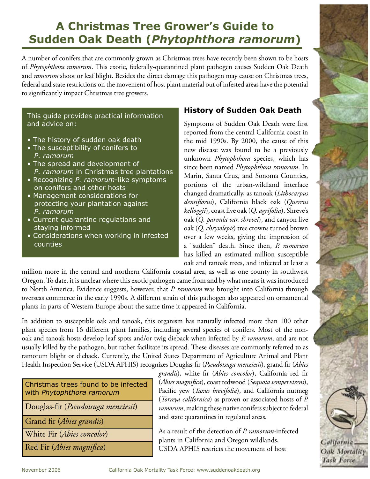# **A Christmas Tree Grower's Guide to Sudden Oak Death (***Phytophthora ramorum***)**

A number of conifers that are commonly grown as Christmas trees have recently been shown to be hosts of *Phytophthora ramorum*. This exotic, federally-quarantined plant pathogen causes Sudden Oak Death and *ramorum* shoot or leaf blight. Besides the direct damage this pathogen may cause on Christmas trees, federal and state restrictions on the movement of host plant material out of infested areas have the potential to significantly impact Christmas tree growers.

This guide provides practical information and advice on:

- The history of sudden oak death
- The susceptibility of conifers to *P. ramorum*
- The spread and development of *P. ramorum* in Christmas tree plantations
- Recognizing *P. ramorum*-like symptoms on conifers and other hosts
- Management considerations for protecting your plantation against *P. ramorum*
- Current quarantine regulations and staying informed
- Considerations when working in infested counties

## **History of Sudden Oak Death**

Symptoms of Sudden Oak Death were first reported from the central California coast in the mid 1990s. By 2000, the cause of this new disease was found to be a previously unknown *Phytophthora* species, which has since been named *Phytophthora ramorum*. In Marin, Santa Cruz, and Sonoma Counties, portions of the urban-wildland interface changed dramatically, as tanoak (*Lithocarpus densiflorus*), California black oak (*Quercus kelloggii*), coast live oak (*Q. agrifolia*), Shreve's oak (*Q. parvula var. shrevei*), and canyon live oak (*Q. chrysolepis*) tree crowns turned brown over a few weeks, giving the impression of a "sudden" death. Since then, *P. ramorum* has killed an estimated million susceptible oak and tanoak trees, and infected at least a

million more in the central and northern California coastal area, as well as one county in southwest Oregon. To date, it is unclear where this exotic pathogen came from and by what means it was introduced to North America. Evidence suggests, however, that *P. ramorum* was brought into California through overseas commerce in the early 1990s. A different strain of this pathogen also appeared on ornamental plants in parts of Western Europe about the same time it appeared in California.

In addition to susceptible oak and tanoak, this organism has naturally infected more than 100 other plant species from 16 different plant families, including several species of conifers. Most of the nonoak and tanoak hosts develop leaf spots and/or twig dieback when infected by *P. ramorum*, and are not usually killed by the pathogen, but rather facilitate its spread. These diseases are commonly referred to as ramorum blight or dieback. Currently, the United States Department of Agriculture Animal and Plant Health Inspection Service (USDA APHIS) recognizes Douglas-fir (*Pseudotsuga menziesii*), grand fir (*Abies* 

| Christmas trees found to be infected<br>with Phytophthora ramorum |
|-------------------------------------------------------------------|
| Douglas-fir (Pseudotsuga menziesii)                               |
| Grand fir (Abies grandis)                                         |
| White Fir (Abies concolor)                                        |
| Red Fir (Abies magnifica)                                         |

*grandis*), white fir (*Abies concolor*), California red fir (*Abies magnifica*), coast redwood (*Sequoia sempervirens*), Pacific yew (*Taxus brevifolia*), and California nutmeg (*Torreya californica*) as proven or associated hosts of *P. ramorum*, making these native conifers subject to federal and state quarantines in regulated areas.

As a result of the detection of *P. ramorum*-infected plants in California and Oregon wildlands, USDA APHIS restricts the movement of host

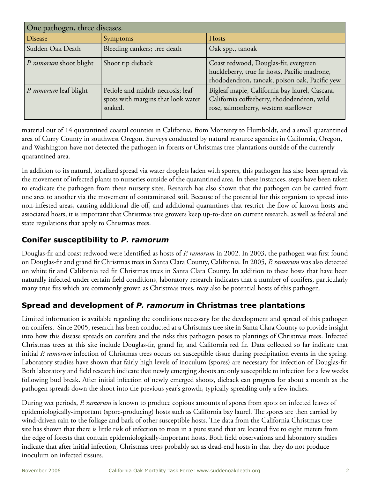| One pathogen, three diseases. |                                                                                    |                                                                                                                                         |  |
|-------------------------------|------------------------------------------------------------------------------------|-----------------------------------------------------------------------------------------------------------------------------------------|--|
| Disease                       | Symptoms                                                                           | Hosts                                                                                                                                   |  |
| Sudden Oak Death              | Bleeding cankers; tree death                                                       | Oak spp., tanoak                                                                                                                        |  |
| P. ramorum shoot blight       | Shoot tip dieback                                                                  | Coast redwood, Douglas-fir, evergreen<br>huckleberry, true fir hosts, Pacific madrone,<br>rhododendron, tanoak, poison oak, Pacific yew |  |
| P. ramorum leaf blight        | Petiole and midrib necrosis; leaf<br>spots with margins that look water<br>soaked. | Bigleaf maple, California bay laurel, Cascara,<br>California coffeeberry, rhododendron, wild<br>rose, salmonberry, western starflower   |  |

material out of 14 quarantined coastal counties in California, from Monterey to Humboldt, and a small quarantined area of Curry County in southwest Oregon. Surveys conducted by natural resource agencies in California, Oregon, and Washington have not detected the pathogen in forests or Christmas tree plantations outside of the currently quarantined area.

In addition to its natural, localized spread via water droplets laden with spores, this pathogen has also been spread via the movement of infected plants to nurseries outside of the quarantined area. In these instances, steps have been taken to eradicate the pathogen from these nursery sites. Research has also shown that the pathogen can be carried from one area to another via the movement of contaminated soil. Because of the potential for this organism to spread into non-infested areas, causing additional die-off, and additional quarantines that restrict the flow of known hosts and associated hosts, it is important that Christmas tree growers keep up-to-date on current research, as well as federal and state regulations that apply to Christmas trees.

### **Conifer susceptibility to** *P. ramorum*

Douglas-fir and coast redwood were identified as hosts of *P. ramorum* in 2002. In 2003, the pathogen was first found on Douglas-fir and grand fir Christmas trees in Santa Clara County, California. In 2005, *P. ramorum* was also detected on white fir and California red fir Christmas trees in Santa Clara County. In addition to these hosts that have been naturally infected under certain field conditions, laboratory research indicates that a number of conifers, particularly many true firs which are commonly grown as Christmas trees, may also be potential hosts of this pathogen.

# **Spread and development of** *P. ramorum* **in Christmas tree plantations**

Limited information is available regarding the conditions necessary for the development and spread of this pathogen on conifers. Since 2005, research has been conducted at a Christmas tree site in Santa Clara County to provide insight into how this disease spreads on conifers and the risks this pathogen poses to plantings of Christmas trees. Infected Christmas trees at this site include Douglas-fir, grand fir, and California red fir. Data collected so far indicate that initial *P. ramorum* infection of Christmas trees occurs on susceptible tissue during precipitation events in the spring. Laboratory studies have shown that fairly high levels of inoculum (spores) are necessary for infection of Douglas-fir. Both laboratory and field research indicate that newly emerging shoots are only susceptible to infection for a few weeks following bud break. After initial infection of newly emerged shoots, dieback can progress for about a month as the pathogen spreads down the shoot into the previous year's growth, typically spreading only a few inches.

During wet periods, *P. ramorum* is known to produce copious amounts of spores from spots on infected leaves of epidemiologically-important (spore-producing) hosts such as California bay laurel. The spores are then carried by wind-driven rain to the foliage and bark of other susceptible hosts. The data from the California Christmas tree site has shown that there is little risk of infection to trees in a pure stand that are located five to eight meters from the edge of forests that contain epidemiologically-important hosts. Both field observations and laboratory studies indicate that after initial infection, Christmas trees probably act as dead-end hosts in that they do not produce inoculum on infected tissues.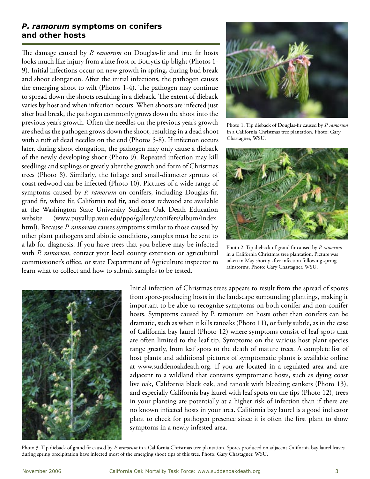#### *P. ramorum* **symptoms on conifers and other hosts**

The damage caused by *P. ramorum* on Douglas-fir and true fir hosts looks much like injury from a late frost or Botrytis tip blight (Photos 1- 9). Initial infections occur on new growth in spring, during bud break and shoot elongation. After the initial infections, the pathogen causes the emerging shoot to wilt (Photos 1-4). The pathogen may continue to spread down the shoots resulting in a dieback. The extent of dieback varies by host and when infection occurs. When shoots are infected just after bud break, the pathogen commonly grows down the shoot into the previous year's growth. Often the needles on the previous year's growth are shed as the pathogen grows down the shoot, resulting in a dead shoot with a tuft of dead needles on the end (Photos 5-8). If infection occurs later, during shoot elongation, the pathogen may only cause a dieback of the newly developing shoot (Photo 9). Repeated infection may kill seedlings and saplings or greatly alter the growth and form of Christmas trees (Photo 8). Similarly, the foliage and small-diameter sprouts of coast redwood can be infected (Photo 10). Pictures of a wide range of symptoms caused by *P. ramorum* on conifers, including Douglas-fir, grand fir, white fir, California red fir, and coast redwood are available at the Washington State University Sudden Oak Death Education website (www.puyallup.wsu.edu/ppo/gallery/conifers/album/index. html). Because *P. ramorum* causes symptoms similar to those caused by other plant pathogens and abiotic conditions, samples must be sent to a lab for diagnosis. If you have trees that you believe may be infected with *P. ramorum*, contact your local county extension or agricultural commissioner's office, or state Department of Agriculture inspector to learn what to collect and how to submit samples to be tested.



Photo 1. Tip dieback of Douglas-fir caused by *P. ramorum* in a California Christmas tree plantation. Photo: Gary Chastagner, WSU.



Photo 2. Tip dieback of grand fir caused by *P. ramorum* in a California Christmas tree plantation. Picture was taken in May shortly after infection following spring rainstorms. Photo: Gary Chastagner, WSU.



Initial infection of Christmas trees appears to result from the spread of spores from spore-producing hosts in the landscape surrounding plantings, making it important to be able to recognize symptoms on both conifer and non-conifer hosts. Symptoms caused by P. ramorum on hosts other than conifers can be dramatic, such as when it kills tanoaks (Photo 11), or fairly subtle, as in the case of California bay laurel (Photo 12) where symptoms consist of leaf spots that are often limited to the leaf tip. Symptoms on the various host plant species range greatly, from leaf spots to the death of mature trees. A complete list of host plants and additional pictures of symptomatic plants is available online at www.suddenoakdeath.org. If you are located in a regulated area and are adjacent to a wildland that contains symptomatic hosts, such as dying coast live oak, California black oak, and tanoak with bleeding cankers (Photo 13), and especially California bay laurel with leaf spots on the tips (Photo 12), trees in your planting are potentially at a higher risk of infection than if there are no known infected hosts in your area. California bay laurel is a good indicator plant to check for pathogen presence since it is often the first plant to show symptoms in a newly infested area.

Photo 3. Tip dieback of grand fir caused by *P. ramorum* in a California Christmas tree plantation. Spores produced on adjacent California bay laurel leaves during spring precipitation have infected most of the emerging shoot tips of this tree. Photo: Gary Chastagner, WSU.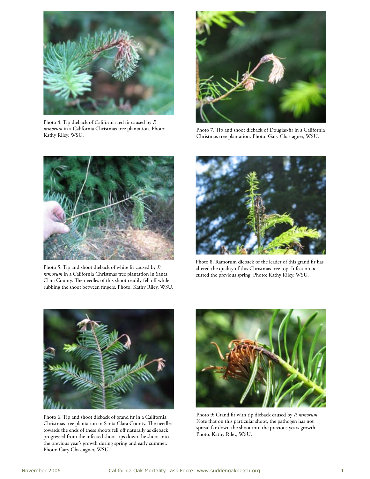

Photo 4. Tip dieback of California red fir caused by *P. ramorum* in a California Christmas tree plantation. Photo: Kathy Riley, WSU.



Photo 7. Tip and shoot dieback of Douglas-fir in a California Christmas tree plantation. Photo: Gary Chastagner, WSU.



Photo 5. Tip and shoot dieback of white fir caused by *P. ramorum* in a California Christmas tree plantation in Santa Clara County. The needles of this shoot readily fell off while rubbing the shoot between fingers. Photo: Kathy Riley, WSU.



Photo 8. Ramorum dieback of the leader of this grand fir has altered the quality of this Christmas tree top. Infection occurred the previous spring. Photo: Kathy Riley, WSU.



Photo 6. Tip and shoot dieback of grand fir in a California Christmas tree plantation in Santa Clara County. The needles towards the ends of these shoots fell off naturally as dieback progressed from the infected shoot tips down the shoot into the previous year's growth during spring and early summer. Photo: Gary Chastagner, WSU.



Photo 9: Grand fir with tip dieback caused by *P. ramorum*. Note that on this particular shoot, the pathogen has not spread far down the shoot into the previous years growth. Photo: Kathy Riley, WSU.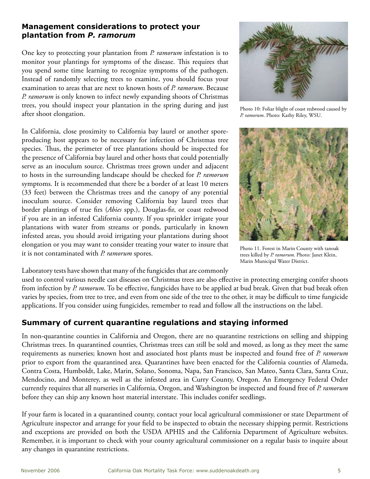#### **Management considerations to protect your plantation from** *P. ramorum*

One key to protecting your plantation from *P. ramorum* infestation is to monitor your plantings for symptoms of the disease. This requires that you spend some time learning to recognize symptoms of the pathogen. Instead of randomly selecting trees to examine, you should focus your examination to areas that are next to known hosts of *P. ramorum*. Because *P. ramorum* is only known to infect newly expanding shoots of Christmas trees, you should inspect your plantation in the spring during and just after shoot elongation.

In California, close proximity to California bay laurel or another sporeproducing host appears to be necessary for infection of Christmas tree species. Thus, the perimeter of tree plantations should be inspected for the presence of California bay laurel and other hosts that could potentially serve as an inoculum source. Christmas trees grown under and adjacent to hosts in the surrounding landscape should be checked for *P. ramorum* symptoms. It is recommended that there be a border of at least 10 meters (33 feet) between the Christmas trees and the canopy of any potential inoculum source. Consider removing California bay laurel trees that border plantings of true firs (*Abies* spp.), Douglas-fir, or coast redwood if you are in an infested California county. If you sprinkler irrigate your plantations with water from streams or ponds, particularly in known infested areas, you should avoid irrigating your plantations during shoot elongation or you may want to consider treating your water to insure that it is not contaminated with *P. ramorum* spores.

Laboratory tests have shown that many of the fungicides that are commonly



# **Summary of current quarantine regulations and staying informed**

In non-quarantine counties in California and Oregon, there are no quarantine restrictions on selling and shipping Christmas trees. In quarantined counties, Christmas trees can still be sold and moved, as long as they meet the same requirements as nurseries; known host and associated host plants must be inspected and found free of *P. ramorum* prior to export from the quarantined area. Quarantines have been enacted for the California counties of Alameda, Contra Costa, Humboldt, Lake, Marin, Solano, Sonoma, Napa, San Francisco, San Mateo, Santa Clara, Santa Cruz, Mendocino, and Monterey, as well as the infested area in Curry County, Oregon. An Emergency Federal Order currently requires that all nurseries in California, Oregon, and Washington be inspected and found free of *P. ramorum* before they can ship any known host material interstate. This includes conifer seedlings.

If your farm is located in a quarantined county, contact your local agricultural commissioner or state Department of Agriculture inspector and arrange for your field to be inspected to obtain the necessary shipping permit. Restrictions and exceptions are provided on both the USDA APHIS and the California Department of Agriculture websites. Remember, it is important to check with your county agricultural commissioner on a regular basis to inquire about any changes in quarantine restrictions.



Photo 10: Foliar blight of coast redwood caused by *P. ramorum*. Photo: Kathy Riley, WSU.



Photo 11. Forest in Marin County with tanoak trees killed by *P. ramorum.* Photo: Janet Klein, Marin Municipal Water District.